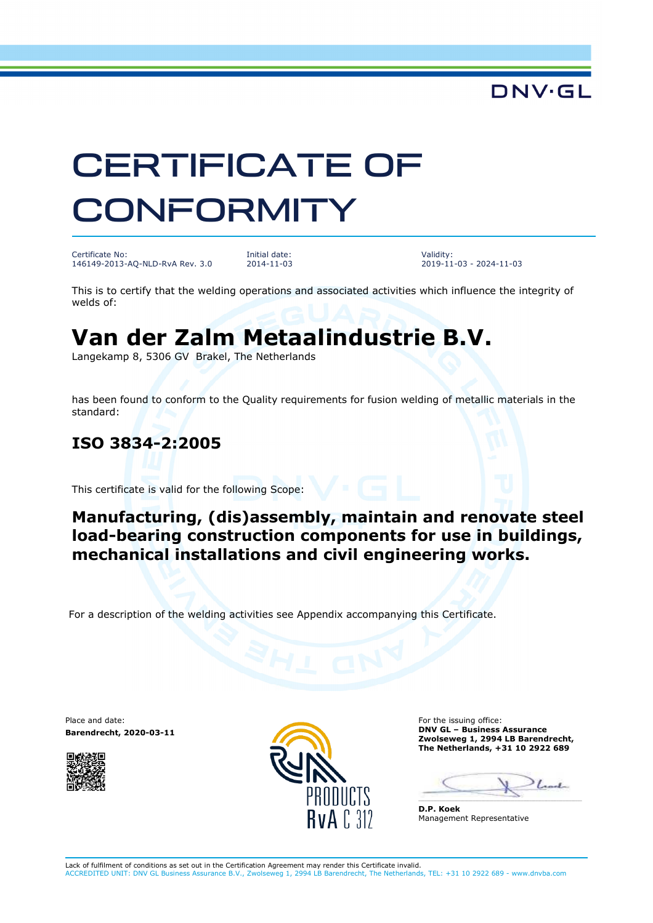## **DNV·GL**

# CERTIFICATE OF **CONFORMITY**

Certificate No: 146149-2013-AQ-NLD-RvA Rev. 3.0 Initial date: 2014-11-03 Validity: 2019-11-03 - 2024-11-03

This is to certify that the welding operations and associated activities which influence the integrity of welds of:

# **Van der Zalm Metaalindustrie B.V.**

Langekamp 8, 5306 GV Brakel, The Netherlands

has been found to conform to the Quality requirements for fusion welding of metallic materials in the standard:

#### **ISO 3834-2:2005**

This certificate is valid for the following Scope:

#### **Manufacturing, (dis)assembly, maintain and renovate steel load-bearing construction components for use in buildings, mechanical installations and civil engineering works.**

For a description of the welding activities see Appendix accompanying this Certificate.

Place and date: **Barendrecht, 2020-03-11**





For the issuing office: **DNV GL – Business Assurance Zwolseweg 1, 2994 LB Barendrecht, The Netherlands, +31 10 2922 689**

 $_{t-1}$ 

**D.P. Koek**  Management Representative

Lack of fulfilment of conditions as set out in the Certification Agreement may render this Certificate invalid. ACCREDITED UNIT: DNV GL Business Assurance B.V., Zwolseweg 1, 2994 LB Barendrecht, The Netherlands, TEL: +31 10 2922 689 - www.dnvba.com